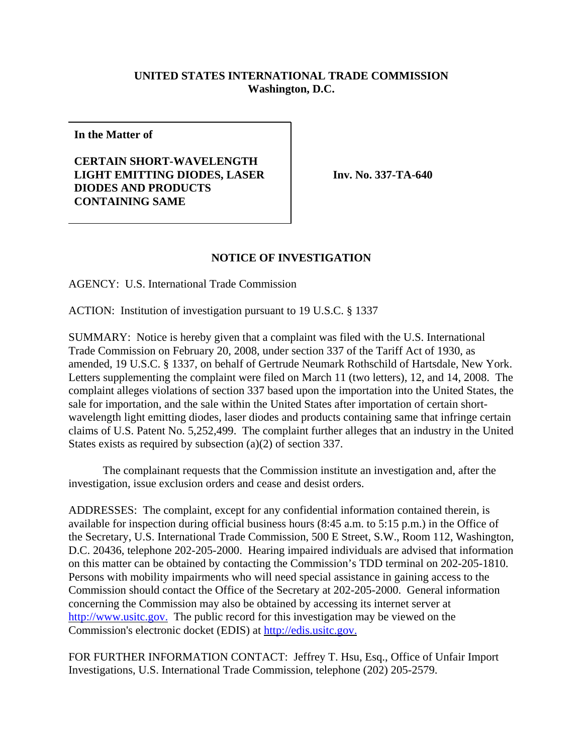## **UNITED STATES INTERNATIONAL TRADE COMMISSION Washington, D.C.**

**In the Matter of**

**CERTAIN SHORT-WAVELENGTH LIGHT EMITTING DIODES, LASER DIODES AND PRODUCTS CONTAINING SAME**

**Inv. No. 337-TA-640** 

## **NOTICE OF INVESTIGATION**

AGENCY: U.S. International Trade Commission

ACTION: Institution of investigation pursuant to 19 U.S.C. § 1337

SUMMARY: Notice is hereby given that a complaint was filed with the U.S. International Trade Commission on February 20, 2008, under section 337 of the Tariff Act of 1930, as amended, 19 U.S.C. § 1337, on behalf of Gertrude Neumark Rothschild of Hartsdale, New York. Letters supplementing the complaint were filed on March 11 (two letters), 12, and 14, 2008. The complaint alleges violations of section 337 based upon the importation into the United States, the sale for importation, and the sale within the United States after importation of certain shortwavelength light emitting diodes, laser diodes and products containing same that infringe certain claims of U.S. Patent No. 5,252,499. The complaint further alleges that an industry in the United States exists as required by subsection (a)(2) of section 337.

The complainant requests that the Commission institute an investigation and, after the investigation, issue exclusion orders and cease and desist orders.

ADDRESSES: The complaint, except for any confidential information contained therein, is available for inspection during official business hours (8:45 a.m. to 5:15 p.m.) in the Office of the Secretary, U.S. International Trade Commission, 500 E Street, S.W., Room 112, Washington, D.C. 20436, telephone 202-205-2000. Hearing impaired individuals are advised that information on this matter can be obtained by contacting the Commission's TDD terminal on 202-205-1810. Persons with mobility impairments who will need special assistance in gaining access to the Commission should contact the Office of the Secretary at 202-205-2000. General information concerning the Commission may also be obtained by accessing its internet server at http://www.usitc.gov. The public record for this investigation may be viewed on the Commission's electronic docket (EDIS) at http://edis.usitc.gov.

FOR FURTHER INFORMATION CONTACT: Jeffrey T. Hsu, Esq., Office of Unfair Import Investigations, U.S. International Trade Commission, telephone (202) 205-2579.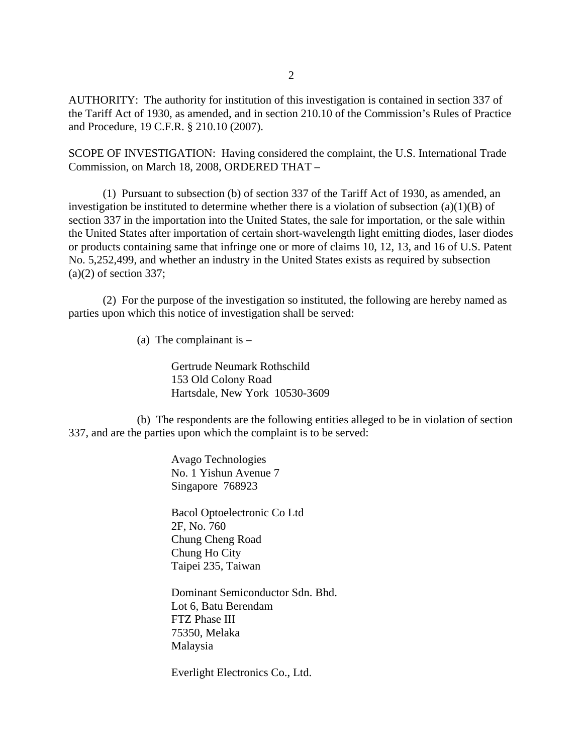AUTHORITY: The authority for institution of this investigation is contained in section 337 of the Tariff Act of 1930, as amended, and in section 210.10 of the Commission's Rules of Practice and Procedure, 19 C.F.R. § 210.10 (2007).

SCOPE OF INVESTIGATION: Having considered the complaint, the U.S. International Trade Commission, on March 18, 2008, ORDERED THAT –

(1) Pursuant to subsection (b) of section 337 of the Tariff Act of 1930, as amended, an investigation be instituted to determine whether there is a violation of subsection (a)(1)(B) of section 337 in the importation into the United States, the sale for importation, or the sale within the United States after importation of certain short-wavelength light emitting diodes, laser diodes or products containing same that infringe one or more of claims 10, 12, 13, and 16 of U.S. Patent No. 5,252,499, and whether an industry in the United States exists as required by subsection  $(a)(2)$  of section 337;

(2) For the purpose of the investigation so instituted, the following are hereby named as parties upon which this notice of investigation shall be served:

(a) The complainant is  $-$ 

Gertrude Neumark Rothschild 153 Old Colony Road Hartsdale, New York 10530-3609

(b) The respondents are the following entities alleged to be in violation of section 337, and are the parties upon which the complaint is to be served:

> Avago Technologies No. 1 Yishun Avenue 7 Singapore 768923

Bacol Optoelectronic Co Ltd 2F, No. 760 Chung Cheng Road Chung Ho City Taipei 235, Taiwan

Dominant Semiconductor Sdn. Bhd. Lot 6, Batu Berendam FTZ Phase III 75350, Melaka Malaysia

Everlight Electronics Co., Ltd.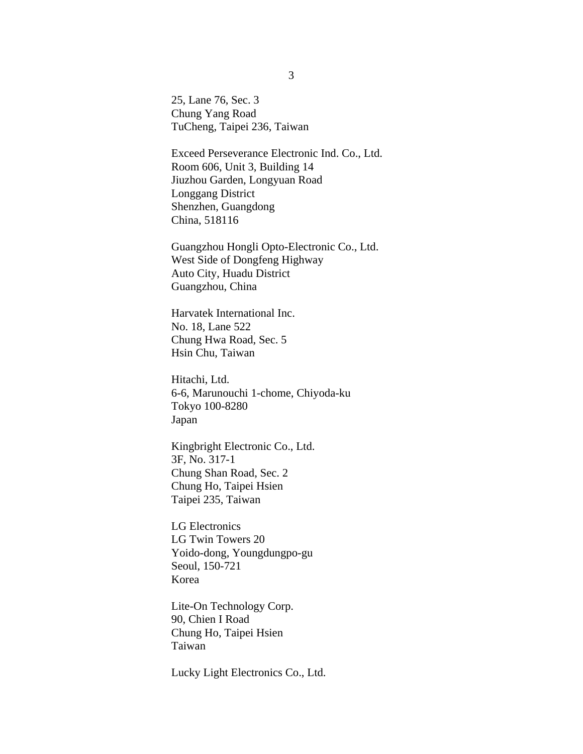25, Lane 76, Sec. 3 Chung Yang Road TuCheng, Taipei 236, Taiwan

Exceed Perseverance Electronic Ind. Co., Ltd. Room 606, Unit 3, Building 14 Jiuzhou Garden, Longyuan Road Longgang District Shenzhen, Guangdong China, 518116

Guangzhou Hongli Opto-Electronic Co., Ltd. West Side of Dongfeng Highway Auto City, Huadu District Guangzhou, China

Harvatek International Inc. No. 18, Lane 522 Chung Hwa Road, Sec. 5 Hsin Chu, Taiwan

Hitachi, Ltd. 6-6, Marunouchi 1-chome, Chiyoda-ku Tokyo 100-8280 Japan

Kingbright Electronic Co., Ltd. 3F, No. 317-1 Chung Shan Road, Sec. 2 Chung Ho, Taipei Hsien Taipei 235, Taiwan

LG Electronics LG Twin Towers 20 Yoido-dong, Youngdungpo-gu Seoul, 150-721 Korea

Lite-On Technology Corp. 90, Chien I Road Chung Ho, Taipei Hsien Taiwan

Lucky Light Electronics Co., Ltd.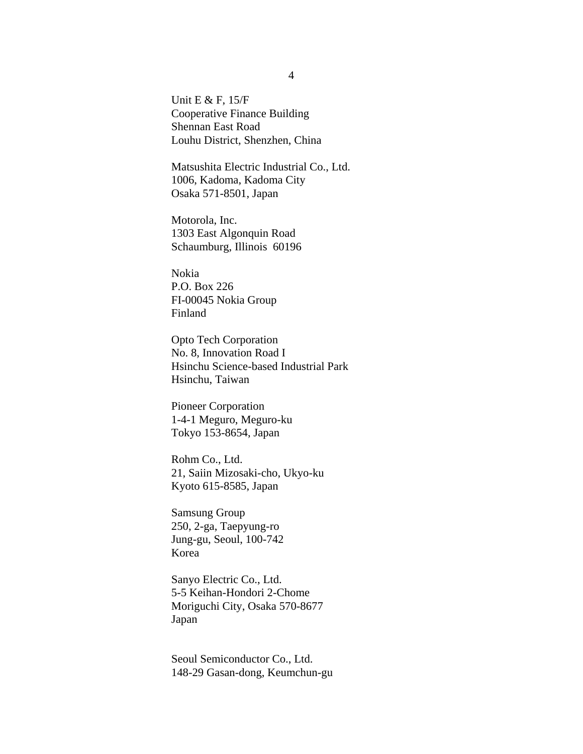Unit E & F, 15/F Cooperative Finance Building Shennan East Road Louhu District, Shenzhen, China

Matsushita Electric Industrial Co., Ltd. 1006, Kadoma, Kadoma City Osaka 571-8501, Japan

Motorola, Inc. 1303 East Algonquin Road Schaumburg, Illinois 60196

Nokia P.O. Box 226 FI-00045 Nokia Group Finland

Opto Tech Corporation No. 8, Innovation Road I Hsinchu Science-based Industrial Park Hsinchu, Taiwan

Pioneer Corporation 1-4-1 Meguro, Meguro-ku Tokyo 153-8654, Japan

Rohm Co., Ltd. 21, Saiin Mizosaki-cho, Ukyo-ku Kyoto 615-8585, Japan

Samsung Group 250, 2-ga, Taepyung-ro Jung-gu, Seoul, 100-742 Korea

Sanyo Electric Co., Ltd. 5-5 Keihan-Hondori 2-Chome Moriguchi City, Osaka 570-8677 Japan

Seoul Semiconductor Co., Ltd. 148-29 Gasan-dong, Keumchun-gu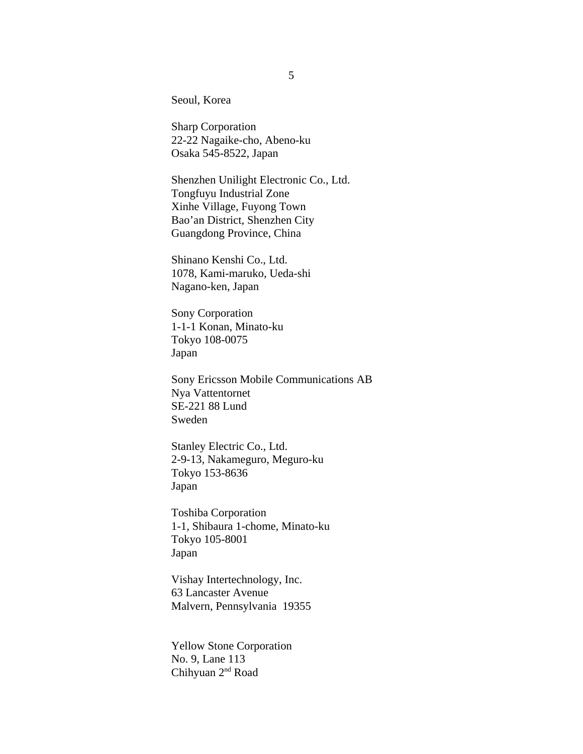Seoul, Korea

Sharp Corporation 22-22 Nagaike-cho, Abeno-ku Osaka 545-8522, Japan

Shenzhen Unilight Electronic Co., Ltd. Tongfuyu Industrial Zone Xinhe Village, Fuyong Town Bao'an District, Shenzhen City Guangdong Province, China

Shinano Kenshi Co., Ltd. 1078, Kami-maruko, Ueda-shi Nagano-ken, Japan

Sony Corporation 1-1-1 Konan, Minato-ku Tokyo 108-0075 Japan

Sony Ericsson Mobile Communications AB Nya Vattentornet SE-221 88 Lund Sweden

Stanley Electric Co., Ltd. 2-9-13, Nakameguro, Meguro-ku Tokyo 153-8636 Japan

Toshiba Corporation 1-1, Shibaura 1-chome, Minato-ku Tokyo 105-8001 Japan

Vishay Intertechnology, Inc. 63 Lancaster Avenue Malvern, Pennsylvania 19355

Yellow Stone Corporation No. 9, Lane 113 Chihyuan 2nd Road